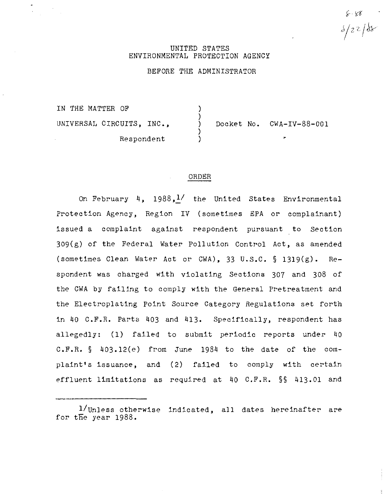$8.88$ <br> $8/22/88$ 

## UNITED STATES ENVIRONMENTAL PROTECTION AGENCY

## BEFORE THE ADMINISTRATOR

) ) ) ) )

IN THE MATTER OF UNIVERSAL CIRCUITS, INC.,  $\qquad \qquad$  Docket No. CWA-IV-88-001 Respondent

## ORDER

On February 4, 1988,  $1/$  the United States Environmental Protection Agency, Region IV (sometimes EPA or complainant) issued a complaint against respondent pursuant to Section 309 (g) of the Federal Water Pollution Control Act, as amended (sometimes Clean Water Act or CWA), 33 U.S.C. § 1319(g). Respondent was charged with violating Sections 307 and 308 of the CWA by failing to comply with the General Pretreatment and the Electroplating Point Source Category Regulations set forth in 40 C.F.R. Parts 403 and 413. Specifically, respondent has allegedly: (1) failed to submit periodic reports under 40 C.F.R. § 403.12(e) from June 1984 to the date of the complaint's issuance, and (2) failed to comply with certain effluent limitations as required at 40 C.F.R. §§ 413.01 and

<sup>1/</sup>Unless otherwise indicated, all dates hereinafter are for the year 1988.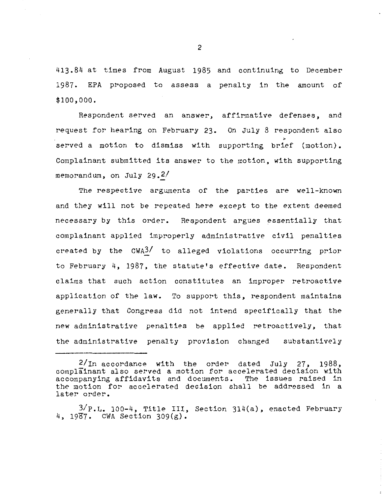413.84 at times from August 1985 and continuing to December 1987. EPA proposed to assess a penalty in *the* amount of \$100,000.

Respondent served an answer, affirmative defenses, and request for hearing on February 23. On July 8 respondent also served a motion to dismiss with supporting brief (motion). Complainant submitted its answer to the motion, with supporting memorandum, on July  $29.2/$ 

The respective arguments of *the* parties are well-known and they will not *be* repeated here except to *the* extent deemed necessary by this order. Respondent argues essentially that complainant applied improperly administrative civil penalties created by the  $CWA^3/$  to alleged violations occurring prior to February 4, 1987, *the* statute's effective date. Respondent claims that such action constitutes an improper retroactive application of the law. To support this, respondent maintains generally that Congress did not intend specifically that the new administrative penalties be applied retroactively, that the administrative penalty provision changed substantively

<sup>2/</sup>In accordance with the order dated July 27, 1988, complainant also served a motion for accelerated decision with<br>accompanying affidavits and documents. The issues raised in accompanying affidavits and documents. *the* motion for accelerated decision shall be addressed in a later order.

<sup>3/</sup>P.L. 100-4, Title III, Section 314(a), enacted February 4, 1987. CWA Section  $309(g)$ .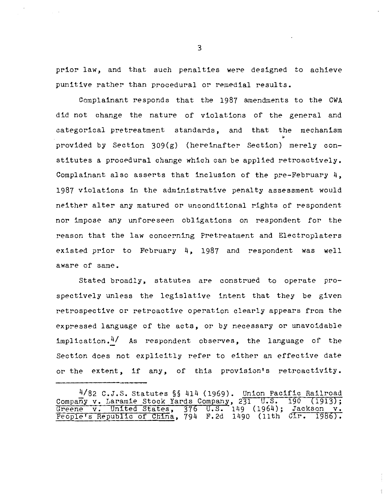prior law, and that such penalties were designed to achieve punitive rather than procedural or remedial results.

Complainant responds that the 1987 amendments to the CWA did not change the nature of violations of the general and categorical pretreatment standards, and that the mechanism provided by Section 309(g) (hereinafter Section) merely constitutes a procedural change which can be applied retroactively. Complainant also asserts that inclusion of the pre-February  $4$ , 1987 violations in the administrative penalty assessment would neither alter any matured or unconditional rights of respondent nor impose any unforeseen obligations on respondent for the reason that the law concerning Pretreatment and Electroplaters existed prior to February 4, 1987 and respondent was well aware of same.

Stated broadly, statutes are construed to operate prospectively unless the legislative intent that they be given retrospective or retroactive operation clearly appears from the expressed language of the acts, or by necessary or unavoidable implication.<sup>4</sup>/ As respondent observes, the language of the Section does not explicitly refer to either an effective date or the extent, if any, of this provision's retroactivity.

<sup>4/82</sup> C.J.S. Statutes§§ 414 (1969). Union Pacific Railroad Company v. Laramie Stock Yards Company,  $231 \t{U.S.}$  190 (1913); Greene v. United States, 376 U.S. 149 (1964); Jackson v. People's Republic of China, 794 F.2d 1490 (11th Cir. 1986).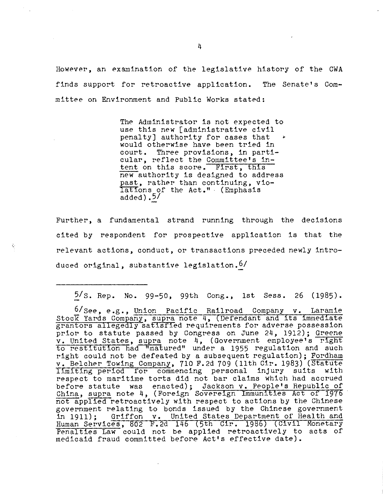However, an examination of the legislative history of the CWA finds support for retroactive application. The Senate's Committee on Environment and Public Works stated:

> The Administrator is not expected to use this new [administrative civil penalty] authority for cases that would otherwise have been tried in court. Three provisions, in particular, reflect the Committee's intent on this score. First, this new-authority is designed to address past, rather than continuing, vio-Tations of the Act." (Emphasis added) • *'}./*

Further, a fundamental strand running through the decisions cited by respondent for prospective application is that the relevant actions, conduct, or transactions preceded newly introduced original, substantive legislation.<sup>6/</sup>

 $5/\text{s}$ . Rep. No. 99-50, 99th Cong., 1st Sess. 26 (1985).

<sup>6/</sup>see, e.g., Union Pacific Railroad Company v. Laramie Stock Yards Company, supra note 4, (Defendant and its immediate grantors allegedly satisfied requirements for adverse possession prior to statute passed by Congress on June 24, 1912); Greene v. United States, supra note 4, (Government employee's right to restitution had "matured" under a 1955 regulation and such right could not be defeated by a subsequent regulation); Fordham v. Belcher Towing Company, 710 F.2d 709 (11th Cir. 1983) (Statute limiting period for commencing personal injury suits with respect to maritime torts did not bar claims which had accrued before statute was enacted); Jackson v. People's Republic of China, supra note 4, (Foreign Sovereign Immunities Act of 1976 not applied retroactively with respect to actions by the Chinese government relating to bonds issued by the Chinese government in 1911); Griffon v. United States Department of Health and Human Services, 802 F.2d 146 (5th Cir. 1986) (Civil Monetary Penalties Law could not be applied retroactively to acts of medicaid fraud committed before Act's effective date).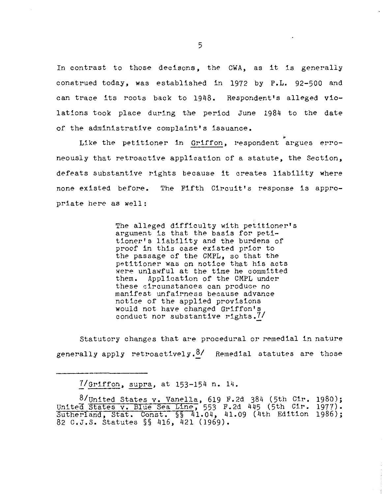In contrast to those decisons, the CWA, as it is generally construed today, was established in 1972 by P.L. 92-500 and can trace its roots back to 1948. Respondent's alleged violations took place during the period June 1984 to the date of the administrative complaint's issuance.

Like the petitioner in Griffon, respondent argues erroneously that retroactive application of a statute, the Section, defeats substantive rights because it creates liability where none existed before. The Fifth Circuit's response is appropriate here as well:

> The alleged difficulty with petitioner's argument is that the basis for petitioner's liability and the burdens of proof in this case existed prior to the passage of the CMPL, so that the petitioner was on notice that his acts were unlawful at the time he committed them. Application of the CMPL under these circumstances can produce no manifest unfairness because advance notice of the applied provisions would not have changed Griffon's conduct nor substantive rights.<sup>7/</sup>

Statutory changes that are procedural or remedial in nature generally apply retroactively.<sup>8/</sup> Remedial statutes are those

 $7/6$ riffon, supra, at 153-154 n. 14.

 $8$ /United States v. Vanella, 619 F.2d 384 (5th Cir. 1980); United States v. Blue Sea Line, 553 F.2d 445 (5th Cir. 1977). Sutherland, Stat. Const. §§ 41.04, 41.09 (4th Edition 1986); 82 C.J.S. Statutes §§ 416, 421 (1969).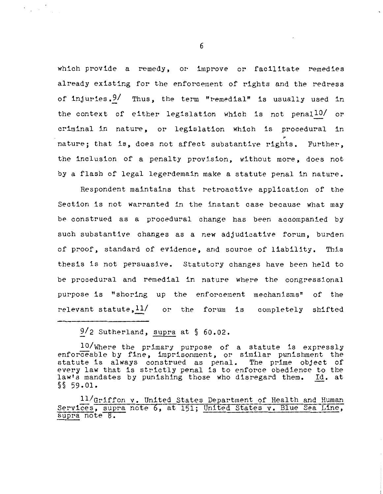which provide a remedy, or improve or facilitate remedies already existing for the enforcement of rights and the redress of injuries.2/ Thus, the term "remedial" is usually used in the context of either legislation which is not penal<sup>10</sup>/ or criminal in nature, or legislation which is procedural in nature; that is, does not affect substantive rights. Further, the inclusion of a penalty provision, without more, does not by a flash of legal legerdemain make a statute penal in nature.

Respondent maintains that retroactive application of the Section is not warranted in the instant case because what may be construed as a procedural change has been accompanied by such substantive changes as a new adjudicative forum, burden of proof, standard of evidence, and source of liability. This thesis is not persuasive. Statutory changes have been held to be procedural and remedial in nature where the congressional purpose is "shoring up the enforcement mechanisms" of the relevant statute, $11/$  or the forum is completely shifted

*912* Sutherland, supra at § 60.02.

10/Where the primary purpose of a statute is expressly enforceable by fine, imprisonment, or similar punishment the statute is always construed as penal. The prime object of every law that is strictly penal is to enforce obedience to the law's mandates by punishing those who disregard them. Id. at §§ 59.01.

11/Griffon v. United States Department of Health and Human Services, supra note 6, at 151; United States v. Blue Sea Line, supra note 8.

6

 $\label{eq:2} \mathcal{F}_{\text{c},\text{c}}(\mathbf{y}) = \mathcal{F}_{\text{c},\text{c},\text{c}}(\mathbf{y})$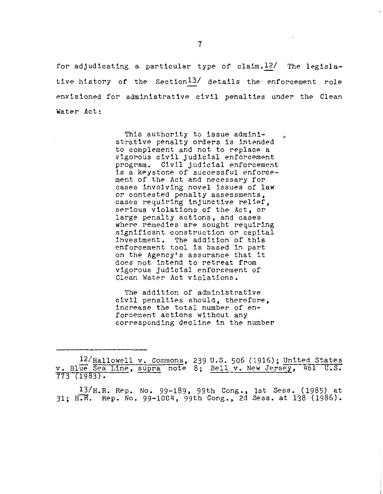for adjudicating a particular type of claim ,12/ The legislative history of the Section<sup>13</sup>/ details the enforcement role envisioned for administrative civil penalties under the Clean Water Act:

> This authority to issue administrative penalty orders is intended to complement and not to replace a vigorous civil judicial enforcement program. Civil judicial enforcement is a keystone of successful enforcement of the Act and necessary for cases involving novel issues of law or contested penalty assessments, cases requiring injunctive relief, serious violations of the Act, or large penalty actions, and cases where remedies are sought requiring significant construction or capital investment. The addition of this enforcement tool is based in part on the Agency's assurance that it does not intend to retreat from vigorous judicial enforcement of Clean Water Act violations.

The addition of administrative civil penalties should, therefore, increase the total number of enforcement actions without any corresponding decline in the number

12/Hallowell v. Commons, 239 U.S. 506 (1916); United States v. Blue Sea Line, supra note 8; Bell v. New Jersey, 461 U.S.  $773(1983)$ .

13/H.R. Rep. No. 99-189, 99th Gong., 1st Sess. (1985) at 31; H.R. Rep. No. 99-1004, 99th Gong., 2d Sess. at 138 (1986).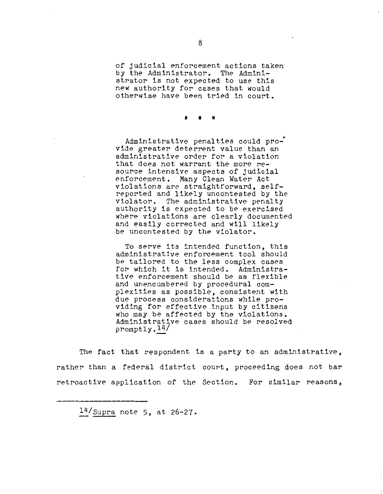of judicial enforcement actions taken by the Administrator. The Administrator is not expected to use this new authority for cases that would otherwise have been tried in court.

l! l! l!

Administrative penalties could provide greater deterrent value than an administrative order for a violation that does not warrant the more  $re$ source intensive aspects of judicial enforcement. Many Clean Water Act violations are straightforward, selfreported and likely uncontested by the violator. The administrative penalty authority is expected to be exercised where violations are clearly documented and easily corrected and will likely be uncontested by the violator.

To serve its intended function, this administrative enforcement tool should be tailored to the less complex cases for which it is intended. Administrative enforcement should be as flexible and unencumbered by procedural complexities as possible, consistent with due process considerations while providing for effective input by citizens who may be affected by the violations. Administrative cases should be resolved  $p$ romptly.<sup>14/</sup>

The fact that respondent is a party to an administrative, rather than a federal district court, proceeding does not bar retroactive application of the Section. For similar reasons,

 $14$ /Supra note 5, at 26-27.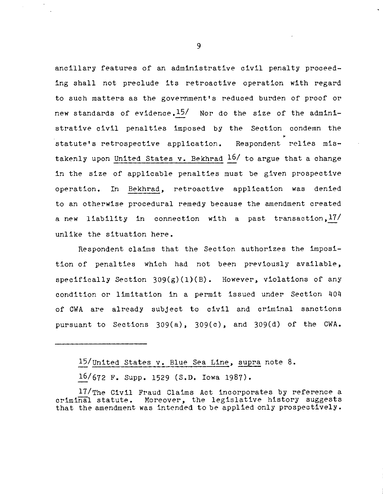ancillary features of an administrative civil penalty proceeding shall not preclude its retroactive operation with regard to such matters as the government's reduced burden of proof or new standards of evidence,15/ Nor do the size of the administrative civil penalties imposed by the Section condemn the statute's retrospective application. Respondent relies mistakenly upon United States v. Bekhrad  $16/$  to argue that a change in the size of applicable penalties must be given prospective operation. In Bekhrad, retroactive application was denied to an otherwise procedural remedy because the amendment created a new liability in connection with a past transaction,  $17/$ unlike the situation here.

Respondent claims that the Section authorizes the imposition of penalties which had not been previously available, specifically Section  $309(g)(1)(B)$ . However, violations of any condition or limitation in a permit issued under Section 404 of CWA are already subject to civil and criminal sanctions pursuant to Sections 309(a), 309(c), and 309(d) of the CWA,

15/united States v. Blue Sea Line, supra note 8.

16/672 F. Supp. 1529 (S.D. Iowa 1987).

 $17/\text{The Civil}$  Fraud Claims Act incorporates by reference a criminal statute. Moreover, the legislative history suggests Moreover, the legislative history suggests that the amendment was intended to be applied only prospectively.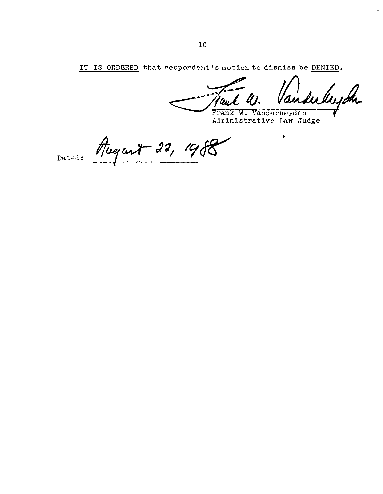IT IS ORDERED that respondent's motion to dismiss be DENIED.

espondent's motion to dismiss be <u>DENIED</u>.<br>Taul 11. Jandu Luye<br>Frank W. Vanderheyden<br>Administrative Law Judge

Ł

Dated:  $\frac{\text{Augart 22, 19}}{9}$